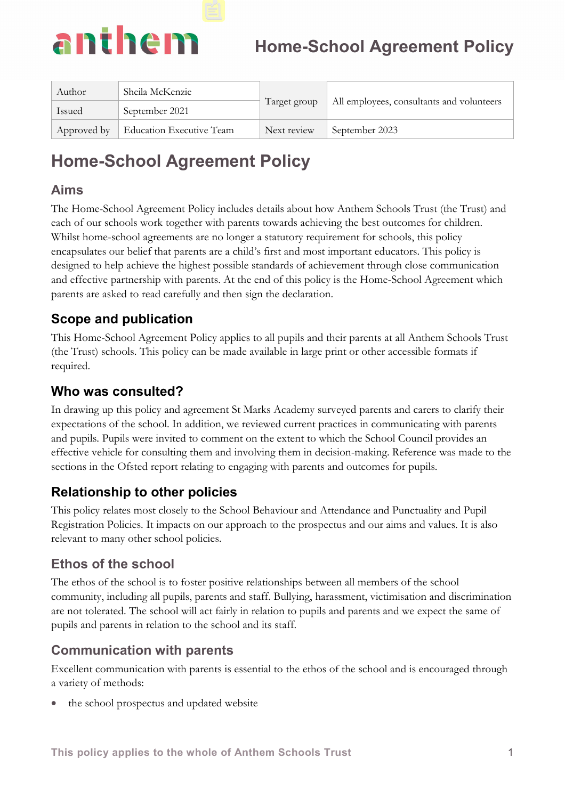

| Author      | Sheila McKenzie          |              | All employees, consultants and volunteers |
|-------------|--------------------------|--------------|-------------------------------------------|
| Issued      | September 2021           | Target group |                                           |
| Approved by | Education Executive Team | Next review  | September 2023                            |

## **Aims**

The Home-School Agreement Policy includes details about how Anthem Schools Trust (the Trust) and each of our schools work together with parents towards achieving the best outcomes for children. Whilst home-school agreements are no longer a statutory requirement for schools, this policy encapsulates our belief that parents are a child's first and most important educators. This policy is designed to help achieve the highest possible standards of achievement through close communication and effective partnership with parents. At the end of this policy is the Home-School Agreement which parents are asked to read carefully and then sign the declaration.

## **Scope and publication**

This Home-School Agreement Policy applies to all pupils and their parents at all Anthem Schools Trust (the Trust) schools. This policy can be made available in large print or other accessible formats if required.

## **Who was consulted?**

In drawing up this policy and agreement St Marks Academy surveyed parents and carers to clarify their expectations of the school. In addition, we reviewed current practices in communicating with parents and pupils. Pupils were invited to comment on the extent to which the School Council provides an effective vehicle for consulting them and involving them in decision-making. Reference was made to the sections in the Ofsted report relating to engaging with parents and outcomes for pupils.

## **Relationship to other policies**

This policy relates most closely to the School Behaviour and Attendance and Punctuality and Pupil Registration Policies. It impacts on our approach to the prospectus and our aims and values. It is also relevant to many other school policies.

## **Ethos of the school**

The ethos of the school is to foster positive relationships between all members of the school community, including all pupils, parents and staff. Bullying, harassment, victimisation and discrimination are not tolerated. The school will act fairly in relation to pupils and parents and we expect the same of pupils and parents in relation to the school and its staff.

## **Communication with parents**

Excellent communication with parents is essential to the ethos of the school and is encouraged through a variety of methods:

the school prospectus and updated website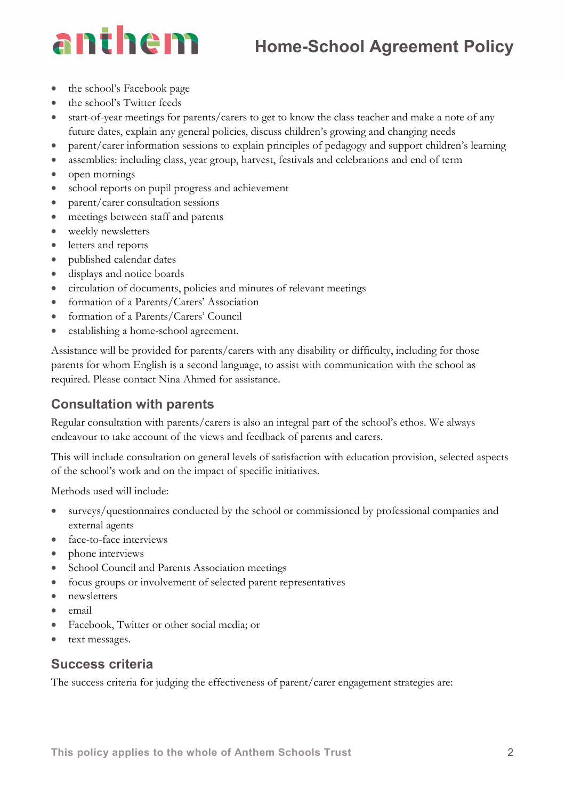## anthem

- the school's Facebook page
- the school's Twitter feeds
- start-of-year meetings for parents/carers to get to know the class teacher and make a note of any future dates, explain any general policies, discuss children's growing and changing needs
- parent/carer information sessions to explain principles of pedagogy and support children's learning
- assemblies: including class, year group, harvest, festivals and celebrations and end of term
- open mornings
- school reports on pupil progress and achievement
- parent/carer consultation sessions
- meetings between staff and parents
- weekly newsletters
- letters and reports
- published calendar dates
- displays and notice boards
- circulation of documents, policies and minutes of relevant meetings
- formation of a Parents/Carers' Association
- formation of a Parents/Carers' Council
- establishing a home-school agreement.

Assistance will be provided for parents/carers with any disability or difficulty, including for those parents for whom English is a second language, to assist with communication with the school as required. Please contact Nina Ahmed for assistance.

## **Consultation with parents**

Regular consultation with parents/carers is also an integral part of the school's ethos. We always endeavour to take account of the views and feedback of parents and carers.

This will include consultation on general levels of satisfaction with education provision, selected aspects of the school's work and on the impact of specific initiatives.

Methods used will include:

- surveys/questionnaires conducted by the school or commissioned by professional companies and external agents
- face-to-face interviews
- phone interviews
- School Council and Parents Association meetings
- focus groups or involvement of selected parent representatives
- newsletters
- email
- Facebook, Twitter or other social media; or
- text messages.

### **Success criteria**

The success criteria for judging the effectiveness of parent/carer engagement strategies are: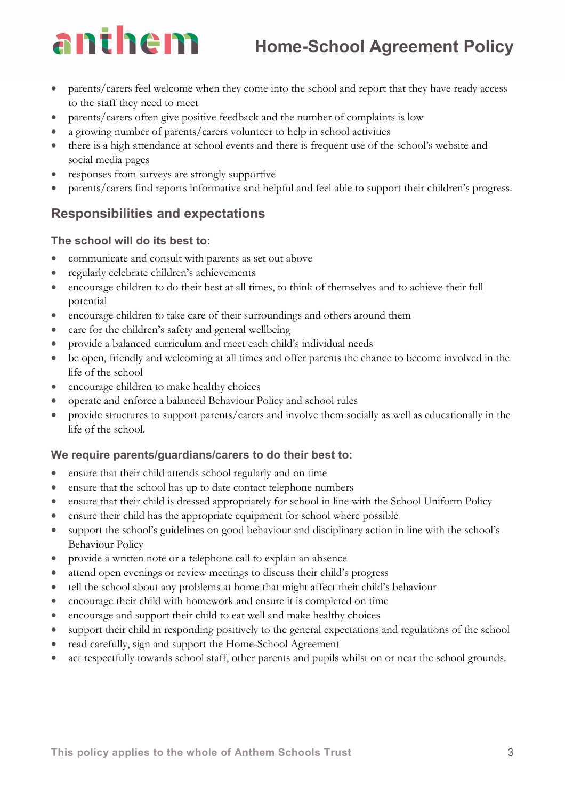## anthem

- parents/carers feel welcome when they come into the school and report that they have ready access to the staff they need to meet
- parents/carers often give positive feedback and the number of complaints is low
- a growing number of parents/carers volunteer to help in school activities
- there is a high attendance at school events and there is frequent use of the school's website and social media pages
- responses from surveys are strongly supportive
- parents/carers find reports informative and helpful and feel able to support their children's progress.

## **Responsibilities and expectations**

## **The school will do its best to:**

- communicate and consult with parents as set out above
- regularly celebrate children's achievements
- encourage children to do their best at all times, to think of themselves and to achieve their full potential
- encourage children to take care of their surroundings and others around them
- care for the children's safety and general wellbeing
- provide a balanced curriculum and meet each child's individual needs
- be open, friendly and welcoming at all times and offer parents the chance to become involved in the life of the school
- encourage children to make healthy choices
- operate and enforce a balanced Behaviour Policy and school rules
- provide structures to support parents/carers and involve them socially as well as educationally in the life of the school.

### **We require parents/guardians/carers to do their best to:**

- ensure that their child attends school regularly and on time
- ensure that the school has up to date contact telephone numbers
- ensure that their child is dressed appropriately for school in line with the School Uniform Policy
- ensure their child has the appropriate equipment for school where possible
- support the school's guidelines on good behaviour and disciplinary action in line with the school's Behaviour Policy
- provide a written note or a telephone call to explain an absence
- attend open evenings or review meetings to discuss their child's progress
- tell the school about any problems at home that might affect their child's behaviour
- encourage their child with homework and ensure it is completed on time
- encourage and support their child to eat well and make healthy choices
- support their child in responding positively to the general expectations and regulations of the school
- read carefully, sign and support the Home-School Agreement
- act respectfully towards school staff, other parents and pupils whilst on or near the school grounds.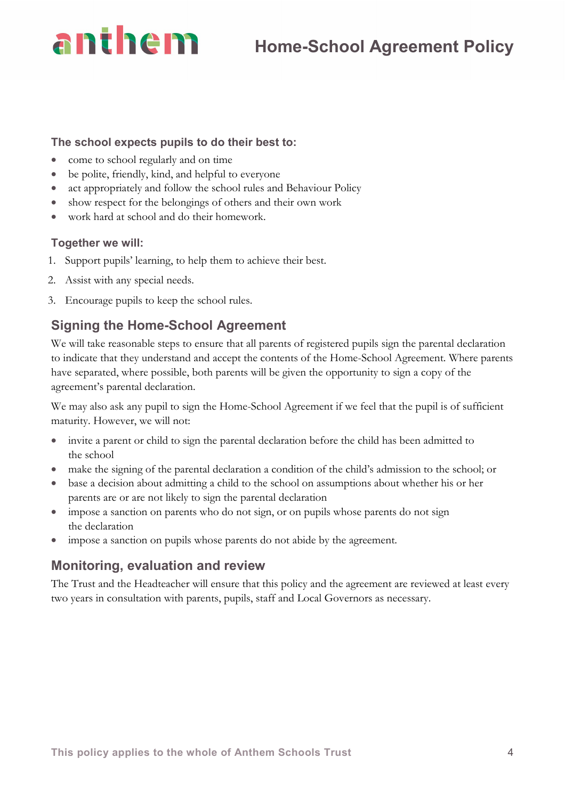# anthem

### **The school expects pupils to do their best to:**

- come to school regularly and on time
- be polite, friendly, kind, and helpful to everyone
- act appropriately and follow the school rules and Behaviour Policy
- show respect for the belongings of others and their own work
- work hard at school and do their homework.

## **Together we will:**

- 1. Support pupils' learning, to help them to achieve their best.
- 2. Assist with any special needs.
- 3. Encourage pupils to keep the school rules.

## **Signing the Home-School Agreement**

We will take reasonable steps to ensure that all parents of registered pupils sign the parental declaration to indicate that they understand and accept the contents of the Home-School Agreement. Where parents have separated, where possible, both parents will be given the opportunity to sign a copy of the agreement's parental declaration.

We may also ask any pupil to sign the Home-School Agreement if we feel that the pupil is of sufficient maturity. However, we will not:

- invite a parent or child to sign the parental declaration before the child has been admitted to the school
- make the signing of the parental declaration a condition of the child's admission to the school; or
- base a decision about admitting a child to the school on assumptions about whether his or her parents are or are not likely to sign the parental declaration
- impose a sanction on parents who do not sign, or on pupils whose parents do not sign the declaration
- impose a sanction on pupils whose parents do not abide by the agreement.

## **Monitoring, evaluation and review**

The Trust and the Headteacher will ensure that this policy and the agreement are reviewed at least every two years in consultation with parents, pupils, staff and Local Governors as necessary.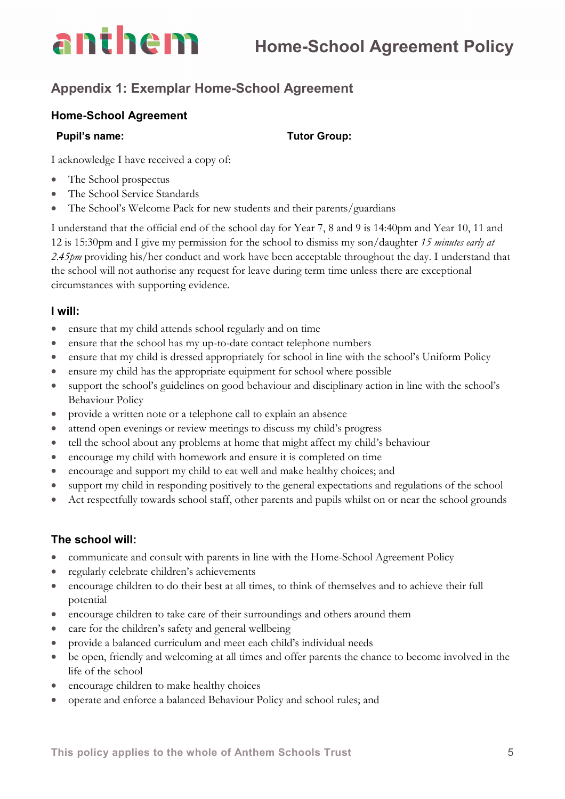## **Appendix 1: Exemplar Home-School Agreement**

#### **Home-School Agreement**

anthem

#### **Pupil's name:** Tutor Group:

I acknowledge I have received a copy of:

- The School prospectus
- The School Service Standards
- The School's Welcome Pack for new students and their parents/guardians

I understand that the official end of the school day for Year 7, 8 and 9 is 14:40pm and Year 10, 11 and 12 is 15:30pm and I give my permission for the school to dismiss my son/daughter *15 minutes early at 2.45pm* providing his/her conduct and work have been acceptable throughout the day. I understand that the school will not authorise any request for leave during term time unless there are exceptional circumstances with supporting evidence.

#### **I will:**

- ensure that my child attends school regularly and on time
- ensure that the school has my up-to-date contact telephone numbers
- ensure that my child is dressed appropriately for school in line with the school's Uniform Policy
- ensure my child has the appropriate equipment for school where possible
- support the school's guidelines on good behaviour and disciplinary action in line with the school's Behaviour Policy
- provide a written note or a telephone call to explain an absence
- attend open evenings or review meetings to discuss my child's progress
- tell the school about any problems at home that might affect my child's behaviour
- encourage my child with homework and ensure it is completed on time
- encourage and support my child to eat well and make healthy choices; and
- support my child in responding positively to the general expectations and regulations of the school
- Act respectfully towards school staff, other parents and pupils whilst on or near the school grounds

#### **The school will:**

- communicate and consult with parents in line with the Home-School Agreement Policy
- regularly celebrate children's achievements
- encourage children to do their best at all times, to think of themselves and to achieve their full potential
- encourage children to take care of their surroundings and others around them
- care for the children's safety and general wellbeing
- provide a balanced curriculum and meet each child's individual needs
- be open, friendly and welcoming at all times and offer parents the chance to become involved in the life of the school
- encourage children to make healthy choices
- operate and enforce a balanced Behaviour Policy and school rules; and